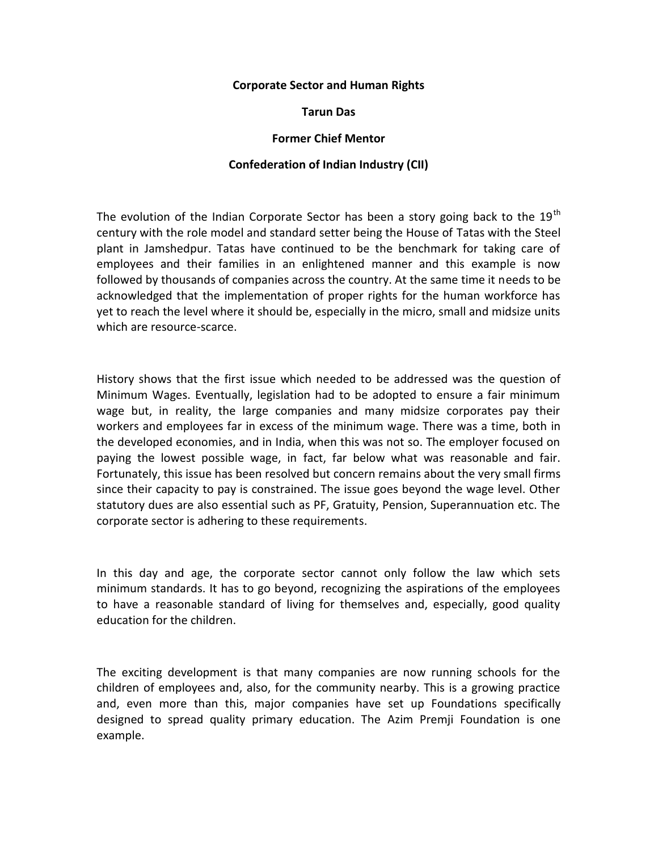## **Corporate Sector and Human Rights**

## **Tarun Das**

## **Former Chief Mentor**

## **Confederation of Indian Industry (CII)**

The evolution of the Indian Corporate Sector has been a story going back to the  $19<sup>th</sup>$ century with the role model and standard setter being the House of Tatas with the Steel plant in Jamshedpur. Tatas have continued to be the benchmark for taking care of employees and their families in an enlightened manner and this example is now followed by thousands of companies across the country. At the same time it needs to be acknowledged that the implementation of proper rights for the human workforce has yet to reach the level where it should be, especially in the micro, small and midsize units which are resource-scarce.

History shows that the first issue which needed to be addressed was the question of Minimum Wages. Eventually, legislation had to be adopted to ensure a fair minimum wage but, in reality, the large companies and many midsize corporates pay their workers and employees far in excess of the minimum wage. There was a time, both in the developed economies, and in India, when this was not so. The employer focused on paying the lowest possible wage, in fact, far below what was reasonable and fair. Fortunately, this issue has been resolved but concern remains about the very small firms since their capacity to pay is constrained. The issue goes beyond the wage level. Other statutory dues are also essential such as PF, Gratuity, Pension, Superannuation etc. The corporate sector is adhering to these requirements.

In this day and age, the corporate sector cannot only follow the law which sets minimum standards. It has to go beyond, recognizing the aspirations of the employees to have a reasonable standard of living for themselves and, especially, good quality education for the children.

The exciting development is that many companies are now running schools for the children of employees and, also, for the community nearby. This is a growing practice and, even more than this, major companies have set up Foundations specifically designed to spread quality primary education. The Azim Premji Foundation is one example.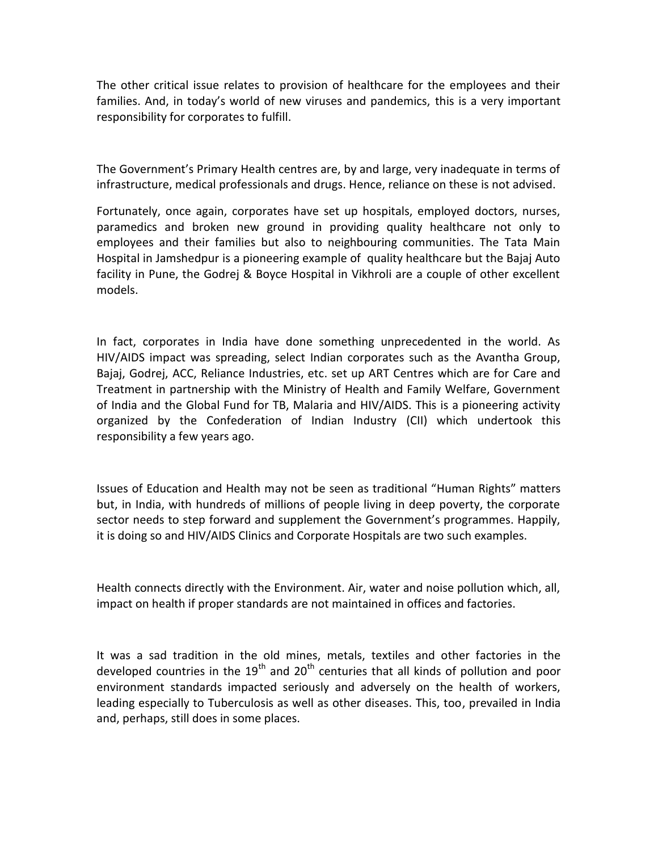The other critical issue relates to provision of healthcare for the employees and their families. And, in today's world of new viruses and pandemics, this is a very important responsibility for corporates to fulfill.

The Government's Primary Health centres are, by and large, very inadequate in terms of infrastructure, medical professionals and drugs. Hence, reliance on these is not advised.

Fortunately, once again, corporates have set up hospitals, employed doctors, nurses, paramedics and broken new ground in providing quality healthcare not only to employees and their families but also to neighbouring communities. The Tata Main Hospital in Jamshedpur is a pioneering example of quality healthcare but the Bajaj Auto facility in Pune, the Godrej & Boyce Hospital in Vikhroli are a couple of other excellent models.

In fact, corporates in India have done something unprecedented in the world. As HIV/AIDS impact was spreading, select Indian corporates such as the Avantha Group, Bajaj, Godrej, ACC, Reliance Industries, etc. set up ART Centres which are for Care and Treatment in partnership with the Ministry of Health and Family Welfare, Government of India and the Global Fund for TB, Malaria and HIV/AIDS. This is a pioneering activity organized by the Confederation of Indian Industry (CII) which undertook this responsibility a few years ago.

Issues of Education and Health may not be seen as traditional "Human Rights" matters but, in India, with hundreds of millions of people living in deep poverty, the corporate sector needs to step forward and supplement the Government's programmes. Happily, it is doing so and HIV/AIDS Clinics and Corporate Hospitals are two such examples.

Health connects directly with the Environment. Air, water and noise pollution which, all, impact on health if proper standards are not maintained in offices and factories.

It was a sad tradition in the old mines, metals, textiles and other factories in the developed countries in the  $19<sup>th</sup>$  and  $20<sup>th</sup>$  centuries that all kinds of pollution and poor environment standards impacted seriously and adversely on the health of workers, leading especially to Tuberculosis as well as other diseases. This, too, prevailed in India and, perhaps, still does in some places.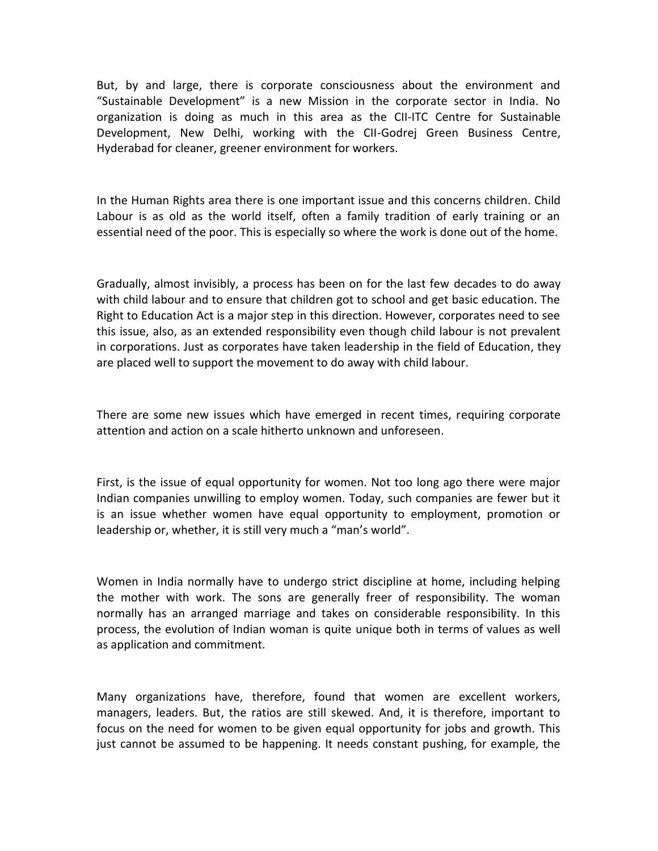But, by and large, there is corporate consciousness about the environment and "Sustainable Development" is a new Mission in the corporate sector in India. No organization is doing as much in this area as the CII-ITC Centre for Sustainable Development, New Delhi, working with the CII-Godrej Green Business Centre, Hyderabad for cleaner, greener environment for workers.

In the Human Rights area there is one important issue and this concerns children. Child Labour is as old as the world itself, often a family tradition of early training or an essential need of the poor. This is especially so where the work is done out of the home.

Gradually, almost invisibly, a process has been on for the last few decades to do away with child labour and to ensure that children got to school and get basic education. The Right to Education Act is a major step in this direction. However, corporates need to see this issue, also, as an extended responsibility even though child labour is not prevalent in corporations. Just as corporates have taken leadership in the field of Education, they are placed well to support the movement to do away with child labour.

There are some new issues which have emerged in recent times, requiring corporate attention and action on a scale hitherto unknown and unforeseen.

First, is the issue of equal opportunity for women. Not too long ago there were major Indian companies unwilling to employ women. Today, such companies are fewer but it is an issue whether women have equal opportunity to employment, promotion or leadership or, whether, it is still very much a "man's world".

Women in India normally have to undergo strict discipline at home, including helping the mother with work. The sons are generally freer of responsibility. The woman normally has an arranged marriage and takes on considerable responsibility. In this process, the evolution of Indian woman is quite unique both in terms of values as well as application and commitment.

Many organizations have, therefore, found that women are excellent workers, managers, leaders. But, the ratios are still skewed. And, it is therefore, important to focus on the need for women to be given equal opportunity for jobs and growth. This just cannot be assumed to be happening. It needs constant pushing, for example, the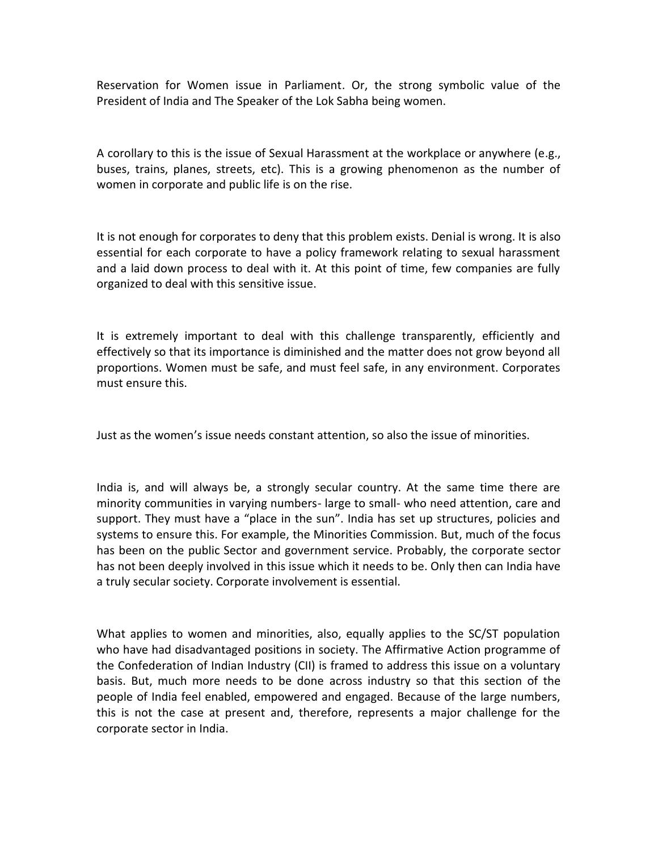Reservation for Women issue in Parliament. Or, the strong symbolic value of the President of India and The Speaker of the Lok Sabha being women.

A corollary to this is the issue of Sexual Harassment at the workplace or anywhere (e.g., buses, trains, planes, streets, etc). This is a growing phenomenon as the number of women in corporate and public life is on the rise.

It is not enough for corporates to deny that this problem exists. Denial is wrong. It is also essential for each corporate to have a policy framework relating to sexual harassment and a laid down process to deal with it. At this point of time, few companies are fully organized to deal with this sensitive issue.

It is extremely important to deal with this challenge transparently, efficiently and effectively so that its importance is diminished and the matter does not grow beyond all proportions. Women must be safe, and must feel safe, in any environment. Corporates must ensure this.

Just as the women's issue needs constant attention, so also the issue of minorities.

India is, and will always be, a strongly secular country. At the same time there are minority communities in varying numbers- large to small- who need attention, care and support. They must have a "place in the sun". India has set up structures, policies and systems to ensure this. For example, the Minorities Commission. But, much of the focus has been on the public Sector and government service. Probably, the corporate sector has not been deeply involved in this issue which it needs to be. Only then can India have a truly secular society. Corporate involvement is essential.

What applies to women and minorities, also, equally applies to the SC/ST population who have had disadvantaged positions in society. The Affirmative Action programme of the Confederation of Indian Industry (CII) is framed to address this issue on a voluntary basis. But, much more needs to be done across industry so that this section of the people of India feel enabled, empowered and engaged. Because of the large numbers, this is not the case at present and, therefore, represents a major challenge for the corporate sector in India.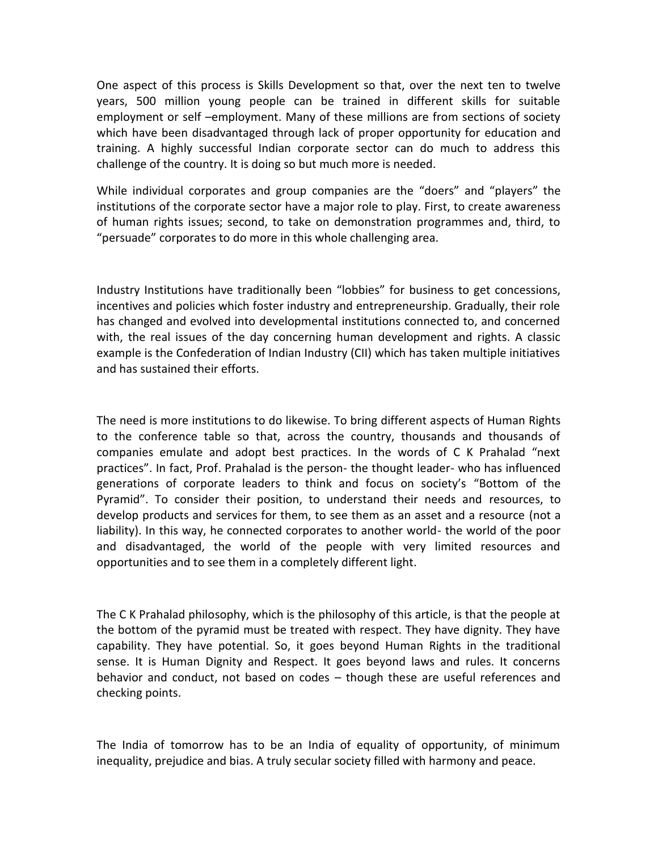One aspect of this process is Skills Development so that, over the next ten to twelve years, 500 million young people can be trained in different skills for suitable employment or self –employment. Many of these millions are from sections of society which have been disadvantaged through lack of proper opportunity for education and training. A highly successful Indian corporate sector can do much to address this challenge of the country. It is doing so but much more is needed.

While individual corporates and group companies are the "doers" and "players" the institutions of the corporate sector have a major role to play. First, to create awareness of human rights issues; second, to take on demonstration programmes and, third, to "persuade" corporates to do more in this whole challenging area.

Industry Institutions have traditionally been "lobbies" for business to get concessions, incentives and policies which foster industry and entrepreneurship. Gradually, their role has changed and evolved into developmental institutions connected to, and concerned with, the real issues of the day concerning human development and rights. A classic example is the Confederation of Indian Industry (CII) which has taken multiple initiatives and has sustained their efforts.

The need is more institutions to do likewise. To bring different aspects of Human Rights to the conference table so that, across the country, thousands and thousands of companies emulate and adopt best practices. In the words of C K Prahalad "next practices". In fact, Prof. Prahalad is the person- the thought leader- who has influenced generations of corporate leaders to think and focus on society's "Bottom of the Pyramid". To consider their position, to understand their needs and resources, to develop products and services for them, to see them as an asset and a resource (not a liability). In this way, he connected corporates to another world- the world of the poor and disadvantaged, the world of the people with very limited resources and opportunities and to see them in a completely different light.

The C K Prahalad philosophy, which is the philosophy of this article, is that the people at the bottom of the pyramid must be treated with respect. They have dignity. They have capability. They have potential. So, it goes beyond Human Rights in the traditional sense. It is Human Dignity and Respect. It goes beyond laws and rules. It concerns behavior and conduct, not based on codes – though these are useful references and checking points.

The India of tomorrow has to be an India of equality of opportunity, of minimum inequality, prejudice and bias. A truly secular society filled with harmony and peace.